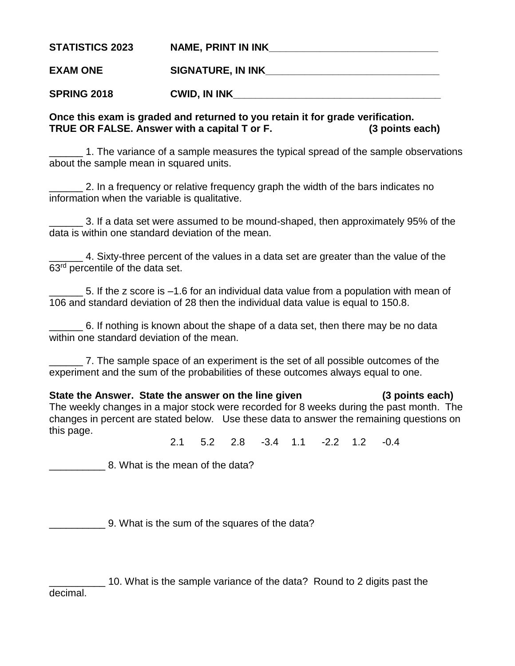| <b>STATISTICS 2023</b> | <b>NAME, PRINT IN INK</b> |
|------------------------|---------------------------|
| <b>EXAM ONE</b>        | <b>SIGNATURE, IN INK</b>  |
| <b>SPRING 2018</b>     | <b>CWID, IN INK</b>       |

## **Once this exam is graded and returned to you retain it for grade verification. TRUE OR FALSE. Answer with a capital T or F. (3 points each)**

\_\_\_\_\_\_ 1. The variance of a sample measures the typical spread of the sample observations about the sample mean in squared units.

\_\_\_\_\_\_ 2. In a frequency or relative frequency graph the width of the bars indicates no information when the variable is qualitative.

\_\_\_\_\_\_ 3. If a data set were assumed to be mound-shaped, then approximately 95% of the data is within one standard deviation of the mean.

\_\_\_\_\_\_ 4. Sixty-three percent of the values in a data set are greater than the value of the 63<sup>rd</sup> percentile of the data set.

\_\_\_\_\_\_ 5. If the z score is –1.6 for an individual data value from a population with mean of 106 and standard deviation of 28 then the individual data value is equal to 150.8.

\_\_\_\_\_\_ 6. If nothing is known about the shape of a data set, then there may be no data within one standard deviation of the mean.

\_\_\_\_\_\_ 7. The sample space of an experiment is the set of all possible outcomes of the experiment and the sum of the probabilities of these outcomes always equal to one.

**State the Answer. State the answer on the line given (3 points each)** The weekly changes in a major stock were recorded for 8 weeks during the past month. The changes in percent are stated below. Use these data to answer the remaining questions on this page.

2.1 5.2 2.8 -3.4 1.1 -2.2 1.2 -0.4

8. What is the mean of the data?

\_\_\_\_\_\_\_\_\_\_ 9. What is the sum of the squares of the data?

\_\_\_\_\_\_\_\_\_\_ 10. What is the sample variance of the data? Round to 2 digits past the decimal.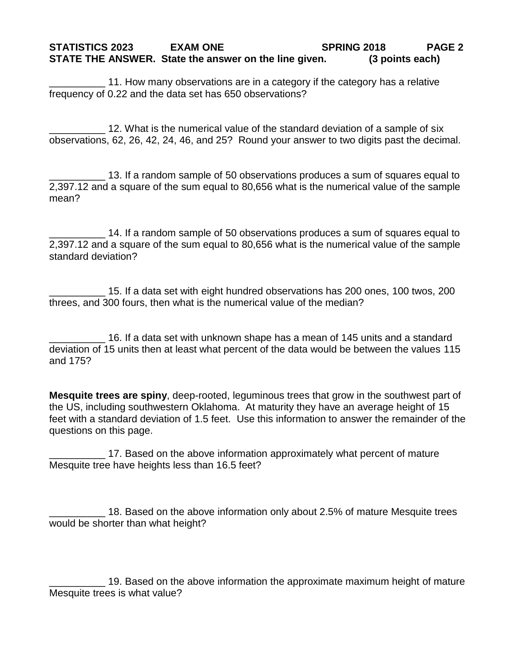## **STATISTICS 2023 EXAM ONE SPRING 2018 PAGE 2 STATE THE ANSWER. State the answer on the line given. (3 points each)**

11. How many observations are in a category if the category has a relative frequency of 0.22 and the data set has 650 observations?

12. What is the numerical value of the standard deviation of a sample of six observations, 62, 26, 42, 24, 46, and 25? Round your answer to two digits past the decimal.

\_\_\_\_\_\_\_\_\_\_ 13. If a random sample of 50 observations produces a sum of squares equal to 2,397.12 and a square of the sum equal to 80,656 what is the numerical value of the sample mean?

\_\_\_\_\_\_\_\_\_\_ 14. If a random sample of 50 observations produces a sum of squares equal to 2,397.12 and a square of the sum equal to 80,656 what is the numerical value of the sample standard deviation?

\_\_\_\_\_\_\_\_\_\_ 15. If a data set with eight hundred observations has 200 ones, 100 twos, 200 threes, and 300 fours, then what is the numerical value of the median?

16. If a data set with unknown shape has a mean of 145 units and a standard deviation of 15 units then at least what percent of the data would be between the values 115 and 175?

**Mesquite trees are spiny**, deep-rooted, leguminous trees that grow in the southwest part of the US, including southwestern Oklahoma. At maturity they have an average height of 15 feet with a standard deviation of 1.5 feet. Use this information to answer the remainder of the questions on this page.

17. Based on the above information approximately what percent of mature Mesquite tree have heights less than 16.5 feet?

18. Based on the above information only about 2.5% of mature Mesquite trees would be shorter than what height?

19. Based on the above information the approximate maximum height of mature Mesquite trees is what value?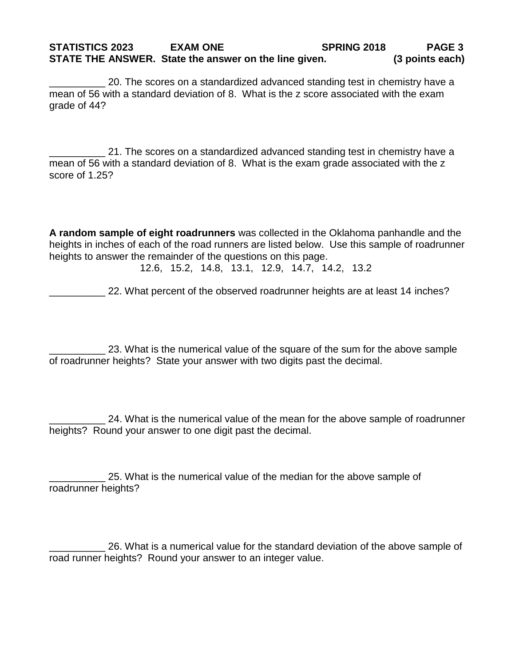## **STATISTICS 2023 EXAM ONE SPRING 2018 PAGE 3 STATE THE ANSWER. State the answer on the line given. (3 points each)**

\_\_\_\_\_\_\_\_\_\_ 20. The scores on a standardized advanced standing test in chemistry have a mean of 56 with a standard deviation of 8. What is the z score associated with the exam grade of 44?

21. The scores on a standardized advanced standing test in chemistry have a mean of 56 with a standard deviation of 8. What is the exam grade associated with the z score of 1.25?

**A random sample of eight roadrunners** was collected in the Oklahoma panhandle and the heights in inches of each of the road runners are listed below. Use this sample of roadrunner heights to answer the remainder of the questions on this page.

12.6, 15.2, 14.8, 13.1, 12.9, 14.7, 14.2, 13.2

\_\_\_\_\_\_\_\_\_\_ 22. What percent of the observed roadrunner heights are at least 14 inches?

23. What is the numerical value of the square of the sum for the above sample of roadrunner heights? State your answer with two digits past the decimal.

\_\_\_\_\_\_\_\_\_\_ 24. What is the numerical value of the mean for the above sample of roadrunner heights? Round your answer to one digit past the decimal.

\_\_\_\_\_\_\_\_\_\_ 25. What is the numerical value of the median for the above sample of roadrunner heights?

\_\_\_\_\_\_\_\_\_\_ 26. What is a numerical value for the standard deviation of the above sample of road runner heights? Round your answer to an integer value.